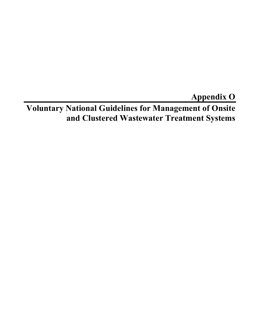**Appendix O** 

**Voluntary National Guidelines for Management of Onsite and Clustered Wastewater Treatment Systems**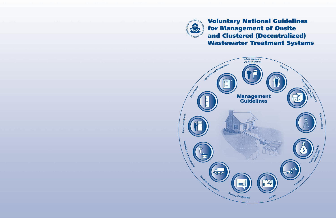

**Voluntary National Guidelines for Management of Onsite and Clustered (Decentralized) Wastewater Treatment Systems**

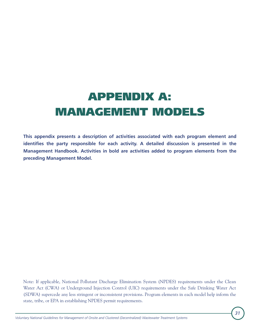# **APPENDIX A: MANAGEMENT MODELS**

**This appendix presents a description of activities associated with each program element and**  identifies the party responsible for each activity. A detailed discussion is presented in the **Management Handbook. Activities in bold are activities added to program elements from the preceding Management Model.**

Note: If applicable, National Pollutant Discharge Elimination System (NPDES) requirements under the Clean Water Act (CWA) or Underground Injection Control (UIC) requirements under the Safe Drinking Water Act (SDWA) supercede any less stringent or inconsistent provisions. Program elements in each model help inform the state, tribe, or EPA in establishing NPDES permit requirements.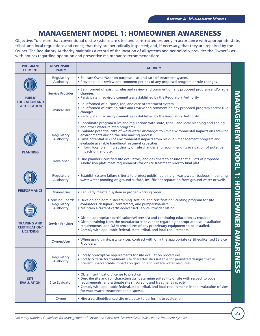## **MANAGEMENT MODEL 1: HOMEOWNER AWARENESS**

Objective: To ensure that conventional onsite systems are sited and constructed properly in accordance with appropriate state, tribal, and local regulations and codes; that they are periodically inspected; and, if necessary, that they are repaired by the Owner. The Regulatory Authority maintains a record of the location of all systems and periodically provides the Owner/User with notices regarding operation and preventive maintenance recommendations.

| <b>PROGRAM</b><br><b>ELEMENT</b>                                 | <b>RESPONSIBLE</b><br><b>PARTY</b>                 | <b>ACTIVITY</b>                                                                                                                                                                                                                                                                                                                                                                                                                                                                                                                                            |                             |
|------------------------------------------------------------------|----------------------------------------------------|------------------------------------------------------------------------------------------------------------------------------------------------------------------------------------------------------------------------------------------------------------------------------------------------------------------------------------------------------------------------------------------------------------------------------------------------------------------------------------------------------------------------------------------------------------|-----------------------------|
|                                                                  | Regulatory<br>Authority                            | • Educate Owner/User on purpose, use, and care of treatment system.<br>. Provide public review and comment periods of any proposed program or rule changes.                                                                                                                                                                                                                                                                                                                                                                                                |                             |
| <b>PUBLIC</b>                                                    | <b>Service Provider</b>                            | • Be informed of existing rules and review and comment on any proposed program and/or rule<br>changes.<br>• Participate in advisory committees established by the Regulatory Authority.                                                                                                                                                                                                                                                                                                                                                                    |                             |
| <b>EDUCATION AND</b><br><b>PARTICIPATION</b>                     | Owner/User                                         | . Be informed of purpose, use, and care of treatment system.<br>. Be informed of existing rules and review and comment on any proposed program and/or rule<br>changes.<br>. Participate in advisory committees established by the Regulatory Authority.                                                                                                                                                                                                                                                                                                    |                             |
| <b>PLANNING</b>                                                  | Regulatory<br>Authority                            | • Coordinate program rules and regulations with state, tribal, and local planning and zoning<br>and other water-related programs.<br>. Evaluate potential risks of wastewater discharges to limit environmental impacts on receiving<br>environments during the rule making process.<br>. Limit potential risks of environmental impacts from residuals management program and<br>evaluate available handling/treatment capacities.<br>• Inform local planning authority of rule changes and recommend its evaluation of potential<br>impacts on land use. | MANAGEMENT MODEL            |
|                                                                  | Developer                                          | • Hire planners, certified site evaluators, and designers to ensure that all lots of proposed<br>subdivision plats meet requirements for onsite treatment prior to final plat.                                                                                                                                                                                                                                                                                                                                                                             |                             |
|                                                                  | Regulatory<br>Authority                            | · Establish system failure criteria to protect public health, e.g., wastewater backups in building,<br>wastewater ponding on ground surface, insufficient separation from ground water or wells.                                                                                                                                                                                                                                                                                                                                                           | ÷                           |
| <b>PERFORMANCE</b>                                               | Owner/User                                         | • Regularly maintain system in proper working order.                                                                                                                                                                                                                                                                                                                                                                                                                                                                                                       |                             |
|                                                                  | <b>Licensing Board/</b><br>Regulatory<br>Authority | . Develop and administer training, testing, and certification/licensing program for site<br>evaluators, designers, contractors, and pumpers/haulers.<br>. Maintain a current certified/licensed Service Provider listing.                                                                                                                                                                                                                                                                                                                                  |                             |
| <b>TRAINING AND</b><br><b>CERTIFICATION/</b><br><b>LICENSING</b> | <b>Service Provider</b>                            | • Obtain appropriate certification(s)/license(s) and continuing education as required.<br>. Obtain training from the manufacturer or vendor regarding appropriate use, installation<br>requirements, and O&M procedures of any proprietary equipment to be installed.<br>• Comply with applicable federal, state, tribal, and local requirements.                                                                                                                                                                                                          | <b>HONIDOWNARY AWARDESS</b> |
|                                                                  | Owner/User                                         | . When using third-party services, contract with only the appropriate certified/licensed Service<br>Providers.                                                                                                                                                                                                                                                                                                                                                                                                                                             |                             |
|                                                                  | Regulatory<br>Authority                            | • Codify prescriptive requirements for site evaluation procedures.<br>. Codify criteria for treatment site characteristics suitable for permitted designs that will<br>prevent unacceptable impacts on ground and surface water resources.                                                                                                                                                                                                                                                                                                                 |                             |
| <b>SITE</b><br><b>EVALUATION</b>                                 | <b>Site Evaluator</b>                              | · Obtain certification/license to practice.<br>. Describe site and soil characteristics, determine suitability of site with respect to code<br>requirements, and estimate site's hydraulic and treatment capacity.<br>. Comply with applicable federal, state, tribal, and local requirements in the evaluation of sites<br>for wastewater treatment and dispersal.                                                                                                                                                                                        |                             |
|                                                                  | Owner                                              | • Hire a certified/licensed site evaluator to perform site evaluation.                                                                                                                                                                                                                                                                                                                                                                                                                                                                                     |                             |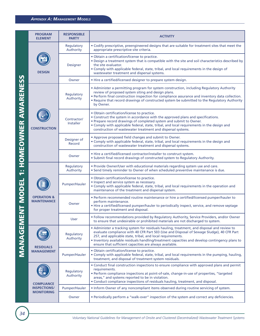#### *APPENDIX A: MANAGEMENT MODELS*

|                | <b>PROGRAM</b><br><b>ELEMENT</b>             | <b>RESPONSIBLE</b><br><b>PARTY</b> | <b>ACTIVITY</b>                                                                                                                                                                                                                                                                                                                                                                                                     |
|----------------|----------------------------------------------|------------------------------------|---------------------------------------------------------------------------------------------------------------------------------------------------------------------------------------------------------------------------------------------------------------------------------------------------------------------------------------------------------------------------------------------------------------------|
|                |                                              | Regulatory<br>Authority            | · Codify prescriptive, preengineered designs that are suitable for treatment sites that meet the<br>appropriate prescriptive site criteria.                                                                                                                                                                                                                                                                         |
|                | <b>DESIGN</b>                                | Designer                           | · Obtain a certification/license to practice.<br>. Design a treatment system that is compatible with the site and soil characteristics described by<br>the site evaluator.<br>. Comply with applicable federal, state, tribal, and local requirements in the design of<br>wastewater treatment and dispersal systems.                                                                                               |
|                |                                              | Owner                              | • Hire a certified/licensed designer to prepare system design.                                                                                                                                                                                                                                                                                                                                                      |
| ĭŤ             |                                              | Regulatory<br>Authority            | • Administer a permitting program for system construction, including Regulatory Authority<br>review of proposed system siting and design plans.<br>. Perform final construction inspection for compliance assurance and inventory data collection.<br>. Require that record drawings of constructed system be submitted to the Regulatory Authority<br>by Owner.                                                    |
| OMEOWNER AWARE | <b>CONSTRUCTION</b>                          | Contractor/<br>Installer           | . Obtain certification/license to practice.<br>• Construct the system in accordance with the approved plans and specifications.<br>• Prepare record drawings of completed system and submit to Owner.<br>. Comply with applicable federal, state, tribal, and local requirements in the design and<br>construction of wastewater treatment and dispersal systems.                                                   |
|                |                                              | Designer of<br>Record              | • Approve proposed field changes and submit to Owner.<br>. Comply with applicable federal, state, tribal, and local requirements in the design and<br>construction of wastewater treatment and dispersal systems.                                                                                                                                                                                                   |
|                |                                              | Owner                              | • Hire a certified/licensed contractor/installer to construct system.<br>• Submit final record drawings of constructed system to Regulatory Authority.                                                                                                                                                                                                                                                              |
| $\ddot{r}$     |                                              | Regulatory<br>Authority            | . Provide Owner/User with educational materials regarding system use and care.<br>. Send timely reminder to Owner of when scheduled preventive maintenance is due.                                                                                                                                                                                                                                                  |
|                |                                              | Pumper/Hauler                      | . Obtain certification/license to practice.<br>· Inspect and service system as necessary.<br>. Comply with applicable federal, state, tribal, and local requirements in the operation and<br>maintenance of the treatment and dispersal system.                                                                                                                                                                     |
| ENT MODEL      | <b>OPERATION &amp;</b><br><b>MAINTENANCE</b> | Owner                              | . Perform recommended routine maintenance or hire a certified/licensed pumper/hauler to<br>perform maintenance.<br>• Hire a certified/licensed pumper/hauler to periodically inspect, service, and remove septage<br>for proper treatment and disposal.                                                                                                                                                             |
|                |                                              | User                               | . Follow recommendations provided by Regulatory Authority, Service Providers, and/or Owner<br>to ensure that undesirable or prohibited materials are not discharged to system.                                                                                                                                                                                                                                      |
| MANAGEN        | <b>RESIDUALS</b>                             | Regulatory<br>Authority            | • Administer a tracking system for residuals hauling, treatment, and disposal and review to<br>evaluate compliance with 40 CFR Part 503 (Use and Disposal of Sewage Sludge), 40 CFR Part<br>257, and applicable state, tribal, and local requirements.<br>. Inventory available residuals handling/treatment capacities and develop contingency plans to<br>ensure that sufficient capacities are always available. |
|                | <b>MANAGEMENT</b>                            | Pumper/Hauler                      | · Obtain certification/license to practice.<br>. Comply with applicable federal, state, tribal, and local requirements in the pumping, hauling,<br>treatment, and disposal of treatment system residuals.                                                                                                                                                                                                           |
|                | <b>COMPLIANCE</b>                            | Regulatory<br>Authority            | • Conduct final construction inspections to ensure compliance with approved plans and permit<br>requirements.<br>· Perform compliance inspections at point-of-sale, change-in-use of properties, "targeted<br>areas," and systems reported to be in violation.<br>• Conduct compliance inspections of residuals hauling, treatment, and disposal.                                                                   |
|                | <b>INSPECTIONS/</b>                          | Pumper/Hauler                      | . Inform Owner of any noncompliant items observed during routine servicing of system.                                                                                                                                                                                                                                                                                                                               |
|                | <b>MONITORING</b>                            | Owner                              | . Periodically perform a "walk-over" inspection of the system and correct any deficiencies.                                                                                                                                                                                                                                                                                                                         |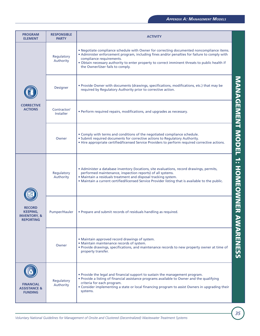| <b>PROGRAM</b><br><b>ELEMENT</b>                                                | <b>RESPONSIBLE</b><br><b>PARTY</b> | <b>ACTIVITY</b>                                                                                                                                                                                                                                                                                                                                             |                                               |
|---------------------------------------------------------------------------------|------------------------------------|-------------------------------------------------------------------------------------------------------------------------------------------------------------------------------------------------------------------------------------------------------------------------------------------------------------------------------------------------------------|-----------------------------------------------|
|                                                                                 | Regulatory<br>Authority            | . Negotiate compliance schedule with Owner for correcting documented noncompliance items.<br>• Administer enforcement program, including fines and/or penalties for failure to comply with<br>compliance requirements.<br>. Obtain necessary authority to enter property to correct imminent threats to public health if<br>the Owner/User fails to comply. |                                               |
|                                                                                 | Designer                           | • Provide Owner with documents (drawings, specifications, modifications, etc.) that may be<br>required by Regulatory Authority prior to corrective action.                                                                                                                                                                                                  |                                               |
| <b>CORRECTIVE</b><br><b>ACTIONS</b>                                             | Contractor/<br><b>Installer</b>    | • Perform required repairs, modifications, and upgrades as necessary.                                                                                                                                                                                                                                                                                       |                                               |
|                                                                                 | Owner                              | . Comply with terms and conditions of the negotiated compliance schedule.<br>• Submit required documents for corrective actions to Regulatory Authority.<br>. Hire appropriate certified/licensed Service Providers to perform required corrective actions.                                                                                                 | <b>NANGEMENT MODEL</b>                        |
|                                                                                 | Regulatory<br>Authority            | • Administer a database inventory (locations, site evaluations, record drawings, permits,<br>performed maintenance, inspection reports) of all systems.<br>· Maintain a residuals treatment and disposal tracking system.<br>. Maintain a current certified/licensed Service Provider listing that is available to the public.                              | $\blacktriangle$<br>аń,<br><b>HOMEOWNER A</b> |
| <b>RECORD</b><br><b>KEEPING,</b><br><b>INVENTORY, &amp;</b><br><b>REPORTING</b> | Pumper/Hauler                      | • Prepare and submit records of residuals handling as required.                                                                                                                                                                                                                                                                                             |                                               |
|                                                                                 | Owner                              | • Maintain approved record drawings of system.<br>· Maintain maintenance records of system.<br>. Provide drawings, specifications, and maintenance records to new property owner at time of<br>property transfer.                                                                                                                                           | <b>NARENESS</b>                               |
| <b>FINANCIAL</b><br><b>ASSISTANCE &amp;</b><br><b>FUNDING</b>                   | Regulatory<br>Authority            | • Provide the legal and financial support to sustain the management program.<br>. Provide a listing of financial assistance programs available to Owner and the qualifying<br>criteria for each program.<br>• Consider implementing a state or local financing program to assist Owners in upgrading their<br>systems.                                      |                                               |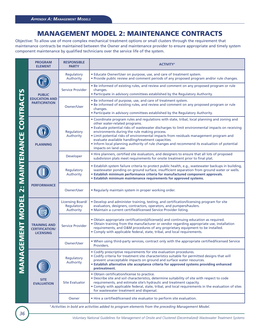## **MANAGEMENT MODEL 2: MAINTENANCE CONTRACTS**

Objective: To allow use of more complex mechanical treatment options or small clusters through the requirement that maintenance contracts be maintained between the Owner and maintenance provider to ensure appropriate and timely system component maintenance by qualified technicians over the service life of the system.

|                         | <b>PROGRAM</b><br><b>ELEMENT</b>                                 | <b>RESPONSIBLE</b><br><b>PARTY</b>                 | <b>ACTIVITY<sup>1</sup></b>                                                                                                                                                                                                                                                                                                                                                                                                                                                                                                                            |
|-------------------------|------------------------------------------------------------------|----------------------------------------------------|--------------------------------------------------------------------------------------------------------------------------------------------------------------------------------------------------------------------------------------------------------------------------------------------------------------------------------------------------------------------------------------------------------------------------------------------------------------------------------------------------------------------------------------------------------|
|                         |                                                                  | Regulatory<br>Authority                            | • Educate Owner/User on purpose, use, and care of treatment system.<br>. Provide public review and comment periods of any proposed program and/or rule changes.                                                                                                                                                                                                                                                                                                                                                                                        |
|                         | <b>PUBLIC</b>                                                    | Service Provider                                   | . Be informed of existing rules, and review and comment on any proposed program or rule<br>changes.<br>• Participate in advisory committees established by the Regulatory Authority.                                                                                                                                                                                                                                                                                                                                                                   |
| <b>CONTRACTS</b>        | <b>EDUCATION AND</b><br><b>PARTICIPATION</b>                     | <b>Owner/User</b>                                  | • Be informed of purpose, use, and care of treatment system.<br>. Be informed of existing rules, and review and comment on any proposed program or rule<br>changes.<br>• Participate in advisory committees established by the Regulatory Authority.                                                                                                                                                                                                                                                                                                   |
|                         | <b>PLANNING</b>                                                  | Regulatory<br>Authority                            | • Coordinate program rules and regulations with state, tribal, local planning and zoning and<br>other water-related programs.<br>. Evaluate potential risks of wastewater discharges to limit environmental impacts on receiving<br>environments during the rule making process.<br>. Limit potential risks of environmental impacts from residuals management program and<br>evaluate available handling/treatment capacities.<br>• Inform local planning authority of rule changes and recommend its evaluation of potential<br>impacts on land use. |
|                         |                                                                  | Developer                                          | • Hire planners, certified site evaluators, and designers to ensure that all lots of proposed<br>subdivision plats meet requirements for onsite treatment prior to final plat.                                                                                                                                                                                                                                                                                                                                                                         |
| 2: MAINTENANCE          | <b>PERFORMANCE</b>                                               | Regulatory<br>Authority                            | • Establish system failure criteria to protect public health, e.g., wastewater backups in building,<br>wastewater ponding on ground surface, insufficient separation from ground water or wells.<br>• Establish minimum performance criteria for manufactured component approvals.<br>• Establish minimum maintenance requirements for approved systems.                                                                                                                                                                                               |
|                         |                                                                  | Owner/User                                         | . Regularly maintain system in proper working order.                                                                                                                                                                                                                                                                                                                                                                                                                                                                                                   |
|                         | <b>TRAINING AND</b><br><b>CERTIFICATION/</b><br><b>LICENSING</b> | <b>Licensing Board/</b><br>Regulatory<br>Authority | • Develop and administer training, testing, and certification/licensing program for site<br>evaluators, designers, contractors, operators, and pumpers/haulers.<br>. Maintain a current certified/licensed Service Provider listing.                                                                                                                                                                                                                                                                                                                   |
|                         |                                                                  | <b>Service Provider</b>                            | • Obtain appropriate certification(s)/license(s) and continuing education as required.<br>. Obtain training from the manufacturer or vendor regarding appropriate use, installation<br>requirements, and O&M procedures of any proprietary equipment to be installed.<br>• Comply with applicable federal, state, tribal, and local requirements.                                                                                                                                                                                                      |
|                         |                                                                  | Owner/User                                         | . When using third-party services, contract only with the appropriate certified/licensed Service<br>Providers.                                                                                                                                                                                                                                                                                                                                                                                                                                         |
| <b>MANAGEMENT MODEL</b> |                                                                  | Regulatory<br>Authority                            | • Codify prescriptive requirements for site evaluation procedures.<br>• Codify criteria for treatment site characteristics suitable for permitted designs that will<br>prevent unacceptable impacts on ground and surface water resources.<br>• Establish alternative site acceptance criteria for approved systems providing enhanced<br>pretreatment.                                                                                                                                                                                                |
|                         | <b>SITE</b><br><b>EVALUATION</b>                                 | <b>Site Evaluator</b>                              | · Obtain certification/license to practice.<br>. Describe site and soil characteristics, determine suitability of site with respect to code<br>requirements, and estimate site's hydraulic and treatment capacity.<br>. Comply with applicable federal, state, tribal, and local requirements in the evaluation of sites<br>for wastewater treatment and dispersal.                                                                                                                                                                                    |
|                         |                                                                  | Owner                                              | . Hire a certified/licensed site evaluator to perform site evaluation.                                                                                                                                                                                                                                                                                                                                                                                                                                                                                 |

**1** *Activities in bold are activities added to program elements from the preceding Management Model.*

*Voluntary National Guidelines for Management of Onsite and Clustered (Decentralized) Wastewater Treatment Systems*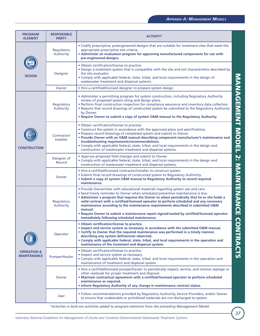| <b>PROGRAM</b><br><b>ELEMENT</b>             | <b>RESPONSIBLE</b><br><b>PARTY</b> | <b>ACTIVITY</b> <sup>1</sup>                                                                                                                                                                                                                                                                                                                                                                                                                                                                                                                                                                              |
|----------------------------------------------|------------------------------------|-----------------------------------------------------------------------------------------------------------------------------------------------------------------------------------------------------------------------------------------------------------------------------------------------------------------------------------------------------------------------------------------------------------------------------------------------------------------------------------------------------------------------------------------------------------------------------------------------------------|
|                                              | Regulatory<br>Authority            | • Codify prescriptive, preengineered designs that are suitable for treatment sites that meet the<br>appropriate prescriptive site criteria.<br>. Administer an evaluation program for approving manufactured components for use with<br>pre-engineered designs.                                                                                                                                                                                                                                                                                                                                           |
| <b>DESIGN</b>                                | Designer                           | · Obtain certification/license to practice.<br>. Design a treatment system that is compatible with the site and soil characteristics described by<br>the site evaluator.<br>. Comply with applicable federal, state, tribal, and local requirements in the design of<br>wastewater treatment and dispersal systems.                                                                                                                                                                                                                                                                                       |
|                                              | Owner                              | • Hire a certified/licensed designer to prepare system design.                                                                                                                                                                                                                                                                                                                                                                                                                                                                                                                                            |
|                                              | Regulatory<br>Authority            | • Administer a permitting program for system construction, including Regulatory Authority<br>review of proposed system siting and design plans.<br>. Perform final construction inspection for compliance assurance and inventory data collection.<br>. Require that record drawings of constructed system be submitted to the Regulatory Authority<br>by Owner.<br>. Require Owner to submit a copy of system O&M manual to the Regulatory Authority.                                                                                                                                                    |
| <b>CONSTRUCTION</b>                          | Contractor/<br><b>Installer</b>    | <b>MANAGEMENT MODEL 2: MAINTENANCE</b><br>· Obtain certification/license to practice.<br>• Construct the system in accordance with the approved plans and specifications.<br>• Prepare record drawings of completed system and submit to Owner.<br>. Provide Owner with an O&M manual describing component manufacturer's maintenance and<br>troubleshooting requirements/recommendations.<br>. Comply with applicable federal, state, tribal, and local requirements in the design and<br>construction of wastewater treatment and dispersal systems.                                                    |
|                                              | Designer of<br>Record              | • Approve proposed field changes and submit to Owner.<br>. Comply with applicable federal, state, tribal, and local requirements in the design and<br>construction of wastewater treatment and dispersal systems.                                                                                                                                                                                                                                                                                                                                                                                         |
|                                              | Owner                              | . Hire a certified/licensed contractor/installer to construct system.<br>• Submit final record drawings of constructed system to Regulatory Authority.<br>. Submit a copy of system O&M manual to Regulatory Authority to record required<br>maintenance.                                                                                                                                                                                                                                                                                                                                                 |
|                                              | Regulatory<br>Authority            | . Provide Owner/User with educational materials regarding system use and care.<br>. Send timely reminder to Owner when scheduled preventive maintenance is due.<br>• Administer a program that requires the Owner to attest periodically that he or she holds a<br>valid contract with a certified/licensed operator to perform scheduled and any necessary<br>maintenance according to the maintenance requirements described in submitted O&M<br>manual.<br>. Require Owner to submit a maintenance report signed/sealed by certified/licensed operator<br>immediately following scheduled maintenance. |
|                                              | Operator                           | · Obtain certification/license to practice.<br><b>ONTRACTS</b><br>. Inspect and service system as necessary in accordance with the submitted O&M manual.<br>• Certify to Owner that the required maintenance was performed in a timely manner,<br>describing any system deficiencies observed.<br>• Comply with applicable federal, state, tribal, and local requirements in the operation and<br>maintenance of the treatment and dispersal system.                                                                                                                                                      |
| <b>OPERATION &amp;</b><br><b>MAINTENANCE</b> | Pumper/Hauler                      | · Obtain certification/license to practice.<br>• Inspect and service system as necessary.<br>• Comply with applicable federal, state, tribal, and local requirements in the operation and<br>maintenance of treatment and dispersal system.                                                                                                                                                                                                                                                                                                                                                               |
|                                              | Owner                              | • Hire a certified/licensed pumper/hauler to periodically inspect, service, and remove septage or<br>other residuals for proper treatment and disposal.<br>. Maintain contractual agreement with a certified/licensed operator to perform scheduled<br>maintenance as required.<br>. Inform Regulatory Authority of any change in maintenance contract status.                                                                                                                                                                                                                                            |
|                                              | <b>User</b>                        | . Follow recommendations provided by Regulatory Authority, Service Providers, and/or Owner<br>to ensure that undesirable or prohibited materials are not discharged to system.                                                                                                                                                                                                                                                                                                                                                                                                                            |
|                                              |                                    | <sup>1</sup> Activities in bold are activities added to program elements from the preceding Management Model.                                                                                                                                                                                                                                                                                                                                                                                                                                                                                             |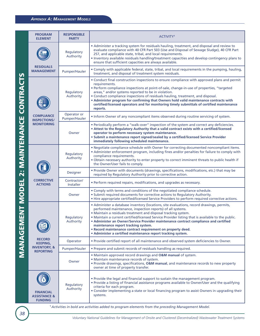#### *APPENDIX A: MANAGEMENT MODELS*

|                      | <b>PROGRAM</b><br><b>ELEMENT</b>                              | <b>RESPONSIBLE</b><br><b>PARTY</b> | ACTIVITY <sup>1</sup>                                                                                                                                                                                                                                                                                                                                                                                                                                                                                                                                                                        |
|----------------------|---------------------------------------------------------------|------------------------------------|----------------------------------------------------------------------------------------------------------------------------------------------------------------------------------------------------------------------------------------------------------------------------------------------------------------------------------------------------------------------------------------------------------------------------------------------------------------------------------------------------------------------------------------------------------------------------------------------|
|                      |                                                               | Regulatory<br>Authority            | . Administer a tracking system for residuals hauling, treatment, and disposal and review to<br>evaluate compliance with 40 CFR Part 503 (Use and Disposal of Sewage Sludge), 40 CFR Part<br>257, and applicable state, tribal, and local requirements.<br>. Inventory available residuals handling/treatment capacities and develop contingency plans to<br>ensure that sufficient capacities are always available.                                                                                                                                                                          |
|                      | <b>RESIDUALS</b><br><b>MANAGEMENT</b>                         | Pumper/Hauler                      | . Comply with applicable federal, state, tribal, and local requirements in the pumping, hauling,<br>treatment, and disposal of treatment system residuals.                                                                                                                                                                                                                                                                                                                                                                                                                                   |
| CONTRA               |                                                               | Regulatory<br>Authority            | • Conduct final construction inspections to ensure compliance with approved plans and permit<br>requirements.<br>· Perform compliance inspections at point-of-sale, change-in-use of properties, "targeted<br>areas," and/or systems reported to be in violation.<br>• Conduct compliance inspections of residuals hauling, treatment, and disposal.<br>• Administer program for confirming that Owners hold valid maintenance contracts with<br>certified/licensed operators and for monitoring timely submittals of certified maintenance<br>reports.                                      |
|                      | <b>COMPLIANCE</b><br><b>INSPECTIONS/</b>                      | Operator or<br>Pumper/Hauler       | . Inform Owner of any noncompliant items observed during routine servicing of system.                                                                                                                                                                                                                                                                                                                                                                                                                                                                                                        |
|                      | <b>MONITORING</b>                                             | Owner                              | . Periodically perform a "walk-over" inspection of the system and correct any deficiencies.<br>. Attest to the Regulatory Authority that a valid contract exists with a certified/licensed<br>operator to perform necessary system maintenance.<br>· Submit a maintenance report signed/sealed by a certified/licensed Service Provider<br>immediately following scheduled maintenance.                                                                                                                                                                                                      |
| <b>MAINTENAIR</b>    |                                                               | Regulatory<br>Authority            | . Negotiate compliance schedule with Owner for correcting documented noncompliant items.<br>. Administer enforcement program, including fines and/or penalties for failure to comply with<br>compliance requirements.<br>. Obtain necessary authority to enter property to correct imminent threats to public health if<br>the Owner/User fails to comply.                                                                                                                                                                                                                                   |
| $\frac{1}{2}$        |                                                               | <b>Designer</b>                    | . Provide Owner with documents (drawings, specifications, modifications, etc.) that may be<br>required by Regulatory Authority prior to corrective action.                                                                                                                                                                                                                                                                                                                                                                                                                                   |
|                      | <b>CORRECTIVE</b><br><b>ACTIONS</b>                           | Contractor/<br>Installer           | • Perform required repairs, modifications, and upgrades as necessary.                                                                                                                                                                                                                                                                                                                                                                                                                                                                                                                        |
|                      |                                                               | Owner                              | . Comply with terms and conditions of the negotiated compliance schedule.<br>• Submit required documents for corrective actions to Regulatory Authority.<br>. Hire appropriate certified/licensed Service Providers to perform required corrective actions.                                                                                                                                                                                                                                                                                                                                  |
| ENT MODEI<br>MANACEN |                                                               | Regulatory<br>Authority            | • Administer a database inventory (locations, site evaluations, record drawings, permits,<br>performed maintenance, inspection reports) of all systems.<br>· Maintain a residuals treatment and disposal tracking system.<br>. Maintain a current certified/licensed Service Provider listing that is available to the public.<br>• Administer an Owner/Service Provider maintenance contract compliance and certified<br>maintenance report tracking system.<br>• Record maintenance contract requirement on property deed.<br>• Administer a certified maintenance report tracking system. |
|                      | <b>RECORD</b><br><b>KEEPING,</b>                              | Operator                           | . Provide certified report of all maintenance and observed system deficiencies to Owner.                                                                                                                                                                                                                                                                                                                                                                                                                                                                                                     |
|                      | <b>INVENTORY, &amp;</b><br><b>REPORTING</b>                   | Pumper/Hauler                      | • Prepare and submit records of residuals handling as required.                                                                                                                                                                                                                                                                                                                                                                                                                                                                                                                              |
|                      |                                                               | Owner                              | • Maintain approved record drawings and O&M manual of system.<br>· Maintain maintenance records of system.<br>. Provide drawings, specifications, O&M manual, and maintenance records to new property<br>owner at time of property transfer.                                                                                                                                                                                                                                                                                                                                                 |
|                      | <b>FINANCIAL</b><br><b>ASSISTANCE &amp;</b><br><b>FUNDING</b> | Regulatory<br>Authority            | . Provide the legal and financial support to sustain the management program.<br>. Provide a listing of financial assistance programs available to Owner/User and the qualifying<br>criteria for each program.<br>. Consider implementing a state or local financing program to assist Owners in upgrading their<br>systems.                                                                                                                                                                                                                                                                  |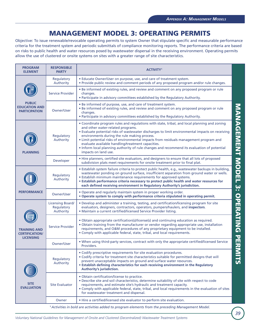# **MANAGEMENT MODEL 3: OPERATING PERMITS**

Objective: To issue renewable/revocable operating permits to system Owner that stipulate specific and measurable performance criteria for the treatment system and periodic submittals of compliance monitoring reports. The performance criteria are based on risks to public health and water resources posed by wastewater dispersal in the receiving environment. Operating permits allow the use of clustered or onsite systems on sites with a greater range of site characteristics.

| <b>PROGRAM</b><br><b>ELEMENT</b>                                 | <b>RESPONSIBLE</b><br><b>PARTY</b>                 | <b>ACTIVITY<sup>1</sup></b>                                                                                                                                                                                                                                                                                                                                                                                                                                                                                                                                |                          |
|------------------------------------------------------------------|----------------------------------------------------|------------------------------------------------------------------------------------------------------------------------------------------------------------------------------------------------------------------------------------------------------------------------------------------------------------------------------------------------------------------------------------------------------------------------------------------------------------------------------------------------------------------------------------------------------------|--------------------------|
|                                                                  | Regulatory<br>Authority                            | • Educate Owner/User on purpose, use, and care of treatment system.<br>. Provide public review and comment periods of any proposed program and/or rule changes.                                                                                                                                                                                                                                                                                                                                                                                            |                          |
|                                                                  | Service Provider                                   | . Be informed of existing rules, and review and comment on any proposed program or rule<br>changes.<br>• Participate in advisory committees established by the Regulatory Authority.                                                                                                                                                                                                                                                                                                                                                                       |                          |
| <b>PUBLIC</b><br><b>EDUCATION AND</b><br><b>PARTICIPATION</b>    | Owner/User                                         | . Be informed of purpose, use, and care of treatment system.<br>. Be informed of existing rules, and review and comment on any proposed program or rule<br>changes.<br>• Participate in advisory committees established by the Regulatory Authority.                                                                                                                                                                                                                                                                                                       |                          |
| <b>PLANNING</b>                                                  | Regulatory<br>Authority                            | • Coordinate program rules and regulations with state, tribal, and local planning and zoning<br>and other water-related programs.<br>. Evaluate potential risks of wastewater discharges to limit environmental impacts on receiving<br>environments during the rule making process.<br>. Limit potential risks of environmental impacts from residuals management program and<br>evaluate available handling/treatment capacities.<br>• Inform local planning authority of rule changes and recommend its evaluation of potential<br>impacts on land use. | <b>MANAGEMENT MODEL</b>  |
|                                                                  | Developer                                          | • Hire planners, certified site evaluators, and designers to ensure that all lots of proposed<br>subdivision plats meet requirements for onsite treatment prior to final plat.                                                                                                                                                                                                                                                                                                                                                                             |                          |
|                                                                  | Regulatory<br>Authority                            | · Establish system failure criteria to protect public health, e.g., wastewater backups in building,<br>wastewater ponding on ground surface, insufficient separation from ground water or wells.<br>• Establish minimum maintenance requirements for approved systems.<br>. Establish performance criteria necessary to protect public health and water resources for<br>each defined receiving environment in Regulatory Authority's jurisdiction.                                                                                                        | $\mathbf{\ddot{\omega}}$ |
| <b>PERFORMANCE</b>                                               | Owner/User                                         | . Operate and regularly maintain system in proper working order.<br>. Operate system to comply with performance criteria stipulated in operating permit.                                                                                                                                                                                                                                                                                                                                                                                                   |                          |
|                                                                  | <b>Licensing Board/</b><br>Regulatory<br>Authority | . Develop and administer a training, testing, and certification/licensing program for site<br>evaluators, designers, contractors, operators, pumpers/haulers, and inspectors.<br>. Maintain a current certified/licensed Service Provider listing.                                                                                                                                                                                                                                                                                                         |                          |
| <b>TRAINING AND</b><br><b>CERTIFICATION/</b><br><b>LICENSING</b> | Service Provider                                   | • Obtain appropriate certification(s)/license(s) and continuing education as required.<br>. Obtain training from the manufacturer or vendor regarding appropriate use, installation<br>requirements, and O&M procedures of any proprietary equipment to be installed.<br>• Comply with applicable federal, state, tribal, and local requirements.                                                                                                                                                                                                          | <b>OPERAHING PERIN</b>   |
|                                                                  | <b>Owner/User</b>                                  | . When using third-party services, contract with only the appropriate certified/licensed Service<br>Providers.                                                                                                                                                                                                                                                                                                                                                                                                                                             |                          |
|                                                                  | Regulatory<br>Authority                            | • Codify prescriptive requirements for site evaluation procedures.<br>. Codify criteria for treatment site characteristics suitable for permitted designs that will<br>prevent unacceptable impacts on ground and surface water resources.<br>. Establish defining characteristics for each receiving environment in the Regulatory<br>Authority's jurisdiction.                                                                                                                                                                                           | <u>ე</u>                 |
| <b>SITE</b><br><b>EVALUATION</b>                                 | <b>Site Evaluator</b>                              | · Obtain certification/license to practice.<br>. Describe site and soil characteristics, determine suitability of site with respect to code<br>requirements, and estimate site's hydraulic and treatment capacity.<br>. Comply with applicable federal, state, tribal, and local requirements in the evaluation of sites<br>for wastewater treatment and dispersal.                                                                                                                                                                                        |                          |
|                                                                  | Owner                                              | . Hire a certified/licensed site evaluator to perform site evaluation.                                                                                                                                                                                                                                                                                                                                                                                                                                                                                     |                          |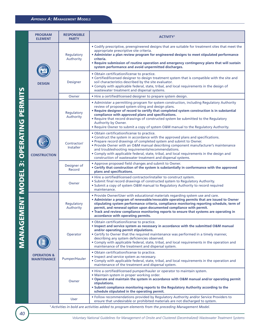#### *APPENDIX A: MANAGEMENT MODELS*

|                    | <b>PROGRAM</b><br><b>ELEMENT</b>             | <b>RESPONSIBLE</b><br><b>PARTY</b> | <b>ACTIVITY<sup>1</sup></b>                                                                                                                                                                                                                                                                                                                                                                                                                                                                                  |
|--------------------|----------------------------------------------|------------------------------------|--------------------------------------------------------------------------------------------------------------------------------------------------------------------------------------------------------------------------------------------------------------------------------------------------------------------------------------------------------------------------------------------------------------------------------------------------------------------------------------------------------------|
|                    |                                              | Regulatory<br>Authority            | . Codify prescriptive, preengineered designs that are suitable for treatment sites that meet the<br>appropriate prescriptive site criteria.<br>• Administer a plan review program for engineered designs to meet stipulated performance<br>criteria.<br>• Require submission of routine operation and emergency contingency plans that will sustain<br>system performance and avoid unpermitted discharges.                                                                                                  |
|                    | <b>DESIGN</b>                                | <b>Designer</b>                    | · Obtain certification/license to practice.<br>• Certified/licensed designer to design treatment system that is compatible with the site and<br>soil characteristics described by the site evaluator.<br>. Comply with applicable federal, state, tribal, and local requirements in the design of<br>wastewater treatment and dispersal systems.                                                                                                                                                             |
|                    |                                              | Owner                              | • Hire a certified/licensed designer to prepare system design.                                                                                                                                                                                                                                                                                                                                                                                                                                               |
| UPEKAIING PEKIVIIS |                                              | Regulatory<br>Authority            | • Administer a permitting program for system construction, including Regulatory Authority<br>review of proposed system siting and design plans.<br>. Require designer of record to certify that completed system construction is in substantial<br>compliance with approved plans and specifications.<br>. Require that record drawings of constructed system be submitted to the Regulatory<br>Authority by Owner.<br>. Require Owner to submit a copy of system O&M manual to the Regulatory Authority.    |
|                    | <b>CONSTRUCTION</b>                          | Contractor/<br>Installer           | · Obtain certification/license to practice.<br>• Construct the system in accordance with the approved plans and specifications.<br>• Prepare record drawings of completed system and submit to Owner.<br>. Provide Owner with an O&M manual describing component manufacturer's maintenance<br>and troubleshooting requirements/recommendations.<br>. Comply with applicable federal, state, tribal, and local requirements in the design and<br>construction of wastewater treatment and dispersal systems. |
| 'n                 |                                              | Designer of<br>Record              | • Approve proposed field changes and submit to Owner.<br>• Certify that construction of the system is substantially in conformance with the approved<br>plans and specifications.                                                                                                                                                                                                                                                                                                                            |
|                    |                                              | Owner                              | . Hire a certified/licensed contractor/installer to construct system.<br>• Submit final record drawings of constructed system to Regulatory Authority.<br>. Submit a copy of system O&M manual to Regulatory Authority to record required<br>maintenance.                                                                                                                                                                                                                                                    |
| EMENI MODEL        |                                              | Regulatory<br>Authority            | . Provide Owner/User with educational materials regarding system use and care.<br>• Administer a program of renewable/revocable operating permits that are issued to Owner<br>stipulating system performance criteria, compliance monitoring reporting schedule, term of<br>permit, and renewal option upon documented compliance with permit.<br>. Track and review compliance monitoring reports to ensure that systems are operating in<br>accordance with operating permits.                             |
| <b>UKNAK</b>       |                                              | Operator                           | · Obtain certification/license to practice.<br>• Inspect and service system as necessary in accordance with the submitted O&M manual<br>and/or operating permit stipulations.<br>• Certify to Owner that the required maintenance was performed in a timely manner,<br>describing any system deficiencies observed.<br>. Comply with applicable federal, state, tribal, and local requirements in the operation and<br>maintenance of the treatment and dispersal system.                                    |
|                    | <b>OPERATION &amp;</b><br><b>MAINTENANCE</b> | Pumper/Hauler                      | · Obtain certification/license to practice.<br>• Inspect and service system as necessary.<br>. Comply with applicable federal, state, tribal, and local requirements in the operation and<br>maintenance of the treatment and dispersal system.                                                                                                                                                                                                                                                              |
|                    |                                              | Owner                              | • Hire a certified/licensed pumper/hauler or operator to maintain system.<br>• Maintain system in proper working order.<br>. Operate and maintain the system in accordance with O&M manual and/or operating permit<br>stipulations.<br>. Submit compliance monitoring reports to the Regulatory Authority according to the<br>schedule stipulated in the operating permit.                                                                                                                                   |
|                    |                                              | <b>User</b>                        | . Follow recommendations provided by Regulatory Authority and/or Service Providers to<br>ensure that undesirable or prohibited materials are not discharged to system.                                                                                                                                                                                                                                                                                                                                       |
|                    |                                              |                                    | <sup>1</sup> Activities in bold are activities added to program elements from the preceding Management Model.                                                                                                                                                                                                                                                                                                                                                                                                |

**CHINESE MANAGEMENT MODEL 3: OPERATING PERMITS**  $\frac{1}{2}$ r F Ī  $\overline{\mathbf{c}}$ **CONTRACTES**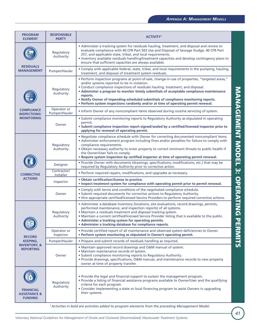| <b>PROGRAM</b><br><b>ELEMENT</b>                              | <b>RESPONSIBLE</b><br><b>PARTY</b> | <b>ACTIVITY<sup>1</sup></b>                                                                                                                                                                                                                                                                                                                                                                                                                                                                                         |                                      |
|---------------------------------------------------------------|------------------------------------|---------------------------------------------------------------------------------------------------------------------------------------------------------------------------------------------------------------------------------------------------------------------------------------------------------------------------------------------------------------------------------------------------------------------------------------------------------------------------------------------------------------------|--------------------------------------|
|                                                               | Regulatory<br>Authority            | • Administer a tracking system for residuals hauling, treatment, and disposal and review to<br>evaluate compliance with 40 CFR Part 503 Use and Disposal of Sewage Sludge, 40 CFR Part<br>257, and applicable state, tribal, and local requirements.<br>. Inventory available residuals handling/treatment capacities and develop contingency plans to<br>ensure that sufficient capacities are always available.                                                                                                   |                                      |
| <b>RESIDUALS</b><br><b>MANAGEMENT</b>                         | Pumper/Hauler                      | . Comply with applicable federal, state, tribal, and local requirements in the pumping, hauling,<br>treatment, and disposal of treatment system residuals.                                                                                                                                                                                                                                                                                                                                                          |                                      |
|                                                               | Regulatory<br>Authority            | • Perform inspection programs at point-of-sale, change-in-use of properties, "targeted areas,"<br>and/or systems reported to be in violation.<br>• Conduct compliance inspections of residuals hauling, treatment, and disposal.<br>• Administer a program to monitor timely submittals of acceptable compliance maintenance<br>reports.<br>. Notify Owner of impending scheduled submittals of compliance monitoring reports.<br>• Perform system inspections randomly and/or at time of operating permit renewal. |                                      |
| <b>COMPLIANCE</b><br><b>INSPECTIONS/</b>                      | Operator or<br>Pumper/Hauler       | . Inform Owner of any noncompliant items observed during routine servicing of system.                                                                                                                                                                                                                                                                                                                                                                                                                               |                                      |
| <b>MONITORING</b>                                             | Owner                              | • Submit compliance monitoring reports to Regulatory Authority as stipulated in operating<br>permit.<br>. Submit compliance inspection report signed/sealed by a certified/licensed inspector prior to<br>applying for renewal of operating permit.                                                                                                                                                                                                                                                                 |                                      |
|                                                               | Regulatory<br>Authority            | . Negotiate compliance schedule with Owner for correcting documented noncompliant items.<br>• Administer enforcement program including fines and/or penalties for failure to comply with<br>compliance requirements.<br>. Obtain necessary authority to enter property to correct imminent threats to public health if<br>the Owner/User fails to comply.<br>• Require system inspection by certified inspector at time of operating permit renewal.                                                                | <b>MANAGEMENT MODEL 3:</b>           |
|                                                               | <b>Designer</b>                    | . Provide Owner with documents (drawings, specifications, modifications, etc.) that may be<br>required by Regulatory Authority prior to corrective action.                                                                                                                                                                                                                                                                                                                                                          |                                      |
| <b>CORRECTIVE</b>                                             | Contractor/<br>Installer           | • Perform required repairs, modifications, and upgrades as necessary.                                                                                                                                                                                                                                                                                                                                                                                                                                               |                                      |
| <b>ACTIONS</b>                                                | Inspector                          | • Obtain certification/license to practice.<br>. Inspect treatment system for compliance with operating permit prior to permit renewal.                                                                                                                                                                                                                                                                                                                                                                             |                                      |
|                                                               | Owner                              | . Comply with terms and conditions of the negotiated compliance schedule.<br>• Submit required documents for corrective actions to Regulatory Authority.<br>• Hire appropriate certified/licensed Service Providers to perform required corrective actions.                                                                                                                                                                                                                                                         |                                      |
| $\boxdot$                                                     | Regulatory<br>Authority            | • Administer a database inventory (locations, site evaluations, record drawings, permits,<br>performed maintenance, and inspection reports) of all systems.<br>. Maintain a residuals treatment and disposal tracking system.<br>. Maintain a current certified/licensed Service Provider listing that is available to the public.<br>• Administer a tracking system for operating permits.<br>• Administer a tracking database for compliance reports.                                                             | OPERATING<br>$\overline{\mathbf{u}}$ |
| <b>RECORD</b>                                                 | Operator or<br>Inspector           | . Provide certified report of all maintenance and observed system deficiencies to Owner.<br>. Perform system monitoring as stipulated in Owner's operating permit.                                                                                                                                                                                                                                                                                                                                                  | ERMITS                               |
| <b>KEEPING,</b>                                               | Pumper/Hauler                      | • Prepare and submit records of residuals handling as required.                                                                                                                                                                                                                                                                                                                                                                                                                                                     |                                      |
| <b>INVENTORY, &amp;</b><br><b>REPORTING</b>                   | Owner                              | • Maintain approved record drawings and O&M manual of system.<br>• Maintain maintenance records of system.<br>• Submit compliance monitoring reports to Regulatory Authority.<br>• Provide drawings, specifications, O&M manual, and maintenance records to new property<br>owner at time of property transfer.                                                                                                                                                                                                     |                                      |
| <b>FINANCIAL</b><br><b>ASSISTANCE &amp;</b><br><b>FUNDING</b> | Regulatory<br>Authority            | . Provide the legal and financial support to sustain the management program.<br>• Provide a listing of financial assistance programs available to Owner/User and the qualifying<br>criteria for each program.<br>• Consider implementing a state or local financing program to assist Owners in upgrading<br>their systems.<br><sup>1</sup> Activities in bold are activities added to program elements from the preceding Management Model.                                                                        |                                      |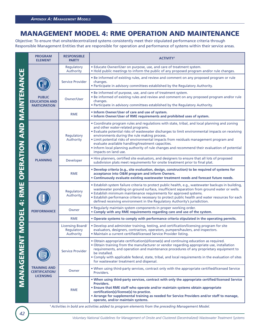## **MANAGEMENT MODEL 4: RME OPERATION AND MAINTENANCE**

Objective: To ensure that onsite/decentralized systems consistently meet their stipulated performance criteria through Responsible Management Entities that are responsible for operation and performance of systems within their service areas.

|                                 | <b>PROGRAM</b><br><b>ELEMENT</b>                                 | <b>RESPONSIBLE</b><br><b>PARTY</b>                 | <b>ACTIVITY<sup>1</sup></b>                                                                                                                                                                                                                                                                                                                                                                                                                                                                                                                                  |
|---------------------------------|------------------------------------------------------------------|----------------------------------------------------|--------------------------------------------------------------------------------------------------------------------------------------------------------------------------------------------------------------------------------------------------------------------------------------------------------------------------------------------------------------------------------------------------------------------------------------------------------------------------------------------------------------------------------------------------------------|
|                                 |                                                                  | Regulatory<br>Authority                            | • Educate Owner/User on purpose, use, and care of treatment system.<br>. Hold public meetings to inform the public of any proposed program and/or rule changes.                                                                                                                                                                                                                                                                                                                                                                                              |
|                                 |                                                                  | Service Provider                                   | • Be informed of existing rules, and review and comment on any proposed program or rule<br>changes.<br>. Participate in advisory committees established by the Regulatory Authority.                                                                                                                                                                                                                                                                                                                                                                         |
|                                 | <b>PUBLIC</b><br><b>EDUCATION AND</b><br><b>PARTICIPATION</b>    | Owner/User                                         | . Be informed of purpose, use, and care of treatment system.<br>. Be informed of existing rules and review and comment on any proposed program and/or rule<br>changes.<br>. Participate in advisory committees established by the Regulatory Authority.                                                                                                                                                                                                                                                                                                      |
|                                 |                                                                  | <b>RME</b>                                         | • Inform Owner/User of care and use of system.<br>. Inform Owner/User of RME requirements and prohibited uses of system.                                                                                                                                                                                                                                                                                                                                                                                                                                     |
| <b>OPERATION AND MAINTENANC</b> |                                                                  | Regulatory<br>Authority                            | • Coordinate program rules and regulations with state, tribal, and local planning and zoning<br>and other water-related programs.<br>. Evaluate potential risks of wastewater discharges to limit environmental impacts on receiving<br>environments during the rule making process.<br>. Limit potential risks of environmental impacts from residuals management program and<br>evaluate available handling/treatment capacities.<br>• Inform local planning authority of rule changes and recommend their evaluation of potential<br>impacts on land use. |
|                                 | <b>PLANNING</b>                                                  | Developer                                          | • Hire planners, certified site evaluators, and designers to ensure that all lots of proposed<br>subdivision plats meet requirements for onsite treatment prior to final plat.                                                                                                                                                                                                                                                                                                                                                                               |
|                                 |                                                                  | <b>RME</b>                                         | . Develop criteria (e.g., site evaluation, design, construction) to be required of systems for<br>acceptance into O&M program and inform Owners.<br>. Continuously evaluate existing wastewater treatment needs and forecast future needs.                                                                                                                                                                                                                                                                                                                   |
| 4: RME                          |                                                                  | Regulatory<br>Authority                            | · Establish system failure criteria to protect public health, e.g., wastewater backups in building,<br>wastewater ponding on ground surface, insufficient separation from ground water or wells.<br>• Establish minimum maintenance requirements for approved systems.<br>. Establish performance criteria necessary to protect public health and water resources for each<br>defined receiving environment in the Regulatory Authority's jurisdiction.                                                                                                      |
|                                 | <b>PERFORMANCE</b>                                               | Owner                                              | . Regularly maintain system components in proper working order.<br>• Comply with any RME requirements regarding care and use of the system.                                                                                                                                                                                                                                                                                                                                                                                                                  |
|                                 |                                                                  | <b>RME</b>                                         | . Operate systems to comply with performance criteria stipulated in the operating permits.                                                                                                                                                                                                                                                                                                                                                                                                                                                                   |
| <b>NODEL</b>                    |                                                                  | <b>Licensing Board/</b><br>Regulatory<br>Authority | . Develop and administer training, testing, and certification/licensing program for site<br>evaluators, designers, contractors, operators, pumpers/haulers, and inspectors.<br>. Maintain a current certified/licensed Service Provider listing.                                                                                                                                                                                                                                                                                                             |
| MANAGEME                        |                                                                  | Service Provider                                   | . Obtain appropriate certification(s)/license(s) and continuing education as required.<br>. Obtain training from the manufacturer or vendor regarding appropriate use, installation<br>requirements, and operation and maintenance procedures of any proprietary equipment to<br>be installed.<br>. Comply with applicable federal, state, tribal, and local requirements in the evaluation of sites<br>for wastewater treatment and dispersal.                                                                                                              |
|                                 | <b>TRAINING AND</b><br><b>CERTIFICATION/</b><br><b>LICENSING</b> | Owner                                              | . When using third-party services, contract only with the appropriate certified/licensed Service<br>Providers.                                                                                                                                                                                                                                                                                                                                                                                                                                               |
|                                 |                                                                  | <b>RME</b>                                         | . When using third-party services, contract with only the appropriate certified/licensed Service<br>Providers.<br>. Ensure that RME staff who operate and/or maintain systems obtain appropriate<br>certification(s)/license(s) to practice.<br>• Arrange for supplemental training as needed for Service Providers and/or staff to manage,<br>operate, and/or maintain systems.                                                                                                                                                                             |
|                                 |                                                                  |                                                    | <sup>1</sup> Activities in bold are activities added to program elements from the preceding Management Model.                                                                                                                                                                                                                                                                                                                                                                                                                                                |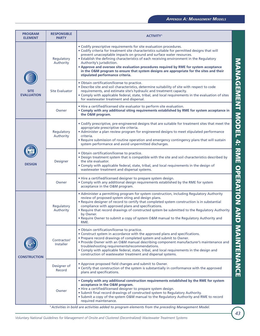| • Codify prescriptive requirements for site evaluation procedures.<br>• Codify criteria for treatment site characteristics suitable for permitted designs that will<br>prevent unacceptable impacts on ground and surface water resources.<br>• Establish the defining characteristics of each receiving environment in the Regulatory<br>Regulatory<br><b>NANGEMENT MODEL 4: RNE OPERATION AND</b><br>Authority<br>Authority's jurisdiction.<br>. Approve and oversee site evaluation procedures required by RME for system acceptance<br>in the O&M program to ensure that system designs are appropriate for the sites and their<br>stipulated performance criteria.<br>. Obtain certification/license to practice.<br>. Describe site and soil characteristics, determine suitability of site with respect to code<br>requirements, and estimate site's hydraulic and treatment capacity.<br><b>Site Evaluator</b><br><b>SITE</b><br><b>EVALUATION</b><br>• Comply with applicable federal, state, tribal, and local requirements in the evaluation of sites<br>for wastewater treatment and dispersal.<br>. Hire a certified/licensed site evaluator to perform site evaluation.<br>. Comply with any additional siting requirements established by RME for system acceptance in<br>Owner<br>the O&M program.<br>. Codify prescriptive, pre-engineered designs that are suitable for treatment sites that meet the<br>appropriate prescriptive site criteria.<br>• Administer a plan review program for engineered designs to meet stipulated performance<br>Regulatory<br>Authority<br>criteria.<br>• Require submission of routine operation and emergency contingency plans that will sustain<br>system performance and avoid unpermitted discharges.<br>· Obtain certification/license to practice.<br>. Design treatment system that is compatible with the site and soil characteristics described by<br>the site evaluator.<br>Designer<br><b>DESIGN</b><br>• Comply with applicable federal, state, tribal, and local requirements in the design of<br>wastewater treatment and dispersal systems.<br>• Hire a certified/licensed designer to prepare system design.<br>• Comply with any additional design requirements established by the RME for system<br>Owner<br>acceptance in the O&M program.<br>• Administer a permitting program for system construction, including Regulatory Authority<br>review of proposed system siting and design plans.<br>. Require designer of record to certify that completed system construction is in substantial<br>compliance with approved plans and specifications.<br>Regulatory<br>Authority<br>. Require that record drawings of constructed system be submitted to the Regulatory Authority<br>by Owner.<br>. Require Owner to submit a copy of system O&M manual to the Regulatory Authority and<br>RME.<br><b>NAINTENANCE</b><br>· Obtain certification/license to practice.<br>• Construct system in accordance with the approved plans and specifications.<br>• Prepare record drawings of completed system and submit to Owner.<br>Contractor/<br>. Provide Owner with an O&M manual describing component manufacturer's maintenance and<br><b>Installer</b><br>troubleshooting requirements/recommendations.<br>• Comply with applicable federal, state, tribal, and local requirements in the design and<br>construction of wastewater treatment and dispersal systems.<br><b>CONSTRUCTION</b><br>• Approve proposed field changes and submit to Owner.<br>Designer of<br>• Certify that construction of the system is substantially in conformance with the approved<br>Record<br>plans and specifications.<br>. Comply with any additional construction requirements established by the RME for system<br>acceptance in the O&M program.<br>. Hire a certified/licensed designer to prepare system design.<br>Owner<br>• Submit final record drawings of constructed system to Regulatory Authority.<br>• Submit a copy of the system O&M manual to the Regulatory Authority and RME to record<br>required maintenance. | <b>PROGRAM</b><br><b>ELEMENT</b> | <b>RESPONSIBLE</b><br><b>PARTY</b> | <b>ACTIVITY</b> <sup>1</sup> |  |
|----------------------------------------------------------------------------------------------------------------------------------------------------------------------------------------------------------------------------------------------------------------------------------------------------------------------------------------------------------------------------------------------------------------------------------------------------------------------------------------------------------------------------------------------------------------------------------------------------------------------------------------------------------------------------------------------------------------------------------------------------------------------------------------------------------------------------------------------------------------------------------------------------------------------------------------------------------------------------------------------------------------------------------------------------------------------------------------------------------------------------------------------------------------------------------------------------------------------------------------------------------------------------------------------------------------------------------------------------------------------------------------------------------------------------------------------------------------------------------------------------------------------------------------------------------------------------------------------------------------------------------------------------------------------------------------------------------------------------------------------------------------------------------------------------------------------------------------------------------------------------------------------------------------------------------------------------------------------------------------------------------------------------------------------------------------------------------------------------------------------------------------------------------------------------------------------------------------------------------------------------------------------------------------------------------------------------------------------------------------------------------------------------------------------------------------------------------------------------------------------------------------------------------------------------------------------------------------------------------------------------------------------------------------------------------------------------------------------------------------------------------------------------------------------------------------------------------------------------------------------------------------------------------------------------------------------------------------------------------------------------------------------------------------------------------------------------------------------------------------------------------------------------------------------------------------------------------------------------------------------------------------------------------------------------------------------------------------------------------------------------------------------------------------------------------------------------------------------------------------------------------------------------------------------------------------------------------------------------------------------------------------------------------------------------------------------------------------------------------------------------------------------------------------------------------------------------------------------------------------------------------------------------------------------------------------------------------------------------------------------------------------------------------------------------------------------------------------------|----------------------------------|------------------------------------|------------------------------|--|
|                                                                                                                                                                                                                                                                                                                                                                                                                                                                                                                                                                                                                                                                                                                                                                                                                                                                                                                                                                                                                                                                                                                                                                                                                                                                                                                                                                                                                                                                                                                                                                                                                                                                                                                                                                                                                                                                                                                                                                                                                                                                                                                                                                                                                                                                                                                                                                                                                                                                                                                                                                                                                                                                                                                                                                                                                                                                                                                                                                                                                                                                                                                                                                                                                                                                                                                                                                                                                                                                                                                                                                                                                                                                                                                                                                                                                                                                                                                                                                                                                                                                                              |                                  |                                    |                              |  |
|                                                                                                                                                                                                                                                                                                                                                                                                                                                                                                                                                                                                                                                                                                                                                                                                                                                                                                                                                                                                                                                                                                                                                                                                                                                                                                                                                                                                                                                                                                                                                                                                                                                                                                                                                                                                                                                                                                                                                                                                                                                                                                                                                                                                                                                                                                                                                                                                                                                                                                                                                                                                                                                                                                                                                                                                                                                                                                                                                                                                                                                                                                                                                                                                                                                                                                                                                                                                                                                                                                                                                                                                                                                                                                                                                                                                                                                                                                                                                                                                                                                                                              |                                  |                                    |                              |  |
|                                                                                                                                                                                                                                                                                                                                                                                                                                                                                                                                                                                                                                                                                                                                                                                                                                                                                                                                                                                                                                                                                                                                                                                                                                                                                                                                                                                                                                                                                                                                                                                                                                                                                                                                                                                                                                                                                                                                                                                                                                                                                                                                                                                                                                                                                                                                                                                                                                                                                                                                                                                                                                                                                                                                                                                                                                                                                                                                                                                                                                                                                                                                                                                                                                                                                                                                                                                                                                                                                                                                                                                                                                                                                                                                                                                                                                                                                                                                                                                                                                                                                              |                                  |                                    |                              |  |
|                                                                                                                                                                                                                                                                                                                                                                                                                                                                                                                                                                                                                                                                                                                                                                                                                                                                                                                                                                                                                                                                                                                                                                                                                                                                                                                                                                                                                                                                                                                                                                                                                                                                                                                                                                                                                                                                                                                                                                                                                                                                                                                                                                                                                                                                                                                                                                                                                                                                                                                                                                                                                                                                                                                                                                                                                                                                                                                                                                                                                                                                                                                                                                                                                                                                                                                                                                                                                                                                                                                                                                                                                                                                                                                                                                                                                                                                                                                                                                                                                                                                                              |                                  |                                    |                              |  |
|                                                                                                                                                                                                                                                                                                                                                                                                                                                                                                                                                                                                                                                                                                                                                                                                                                                                                                                                                                                                                                                                                                                                                                                                                                                                                                                                                                                                                                                                                                                                                                                                                                                                                                                                                                                                                                                                                                                                                                                                                                                                                                                                                                                                                                                                                                                                                                                                                                                                                                                                                                                                                                                                                                                                                                                                                                                                                                                                                                                                                                                                                                                                                                                                                                                                                                                                                                                                                                                                                                                                                                                                                                                                                                                                                                                                                                                                                                                                                                                                                                                                                              |                                  |                                    |                              |  |
|                                                                                                                                                                                                                                                                                                                                                                                                                                                                                                                                                                                                                                                                                                                                                                                                                                                                                                                                                                                                                                                                                                                                                                                                                                                                                                                                                                                                                                                                                                                                                                                                                                                                                                                                                                                                                                                                                                                                                                                                                                                                                                                                                                                                                                                                                                                                                                                                                                                                                                                                                                                                                                                                                                                                                                                                                                                                                                                                                                                                                                                                                                                                                                                                                                                                                                                                                                                                                                                                                                                                                                                                                                                                                                                                                                                                                                                                                                                                                                                                                                                                                              |                                  |                                    |                              |  |
|                                                                                                                                                                                                                                                                                                                                                                                                                                                                                                                                                                                                                                                                                                                                                                                                                                                                                                                                                                                                                                                                                                                                                                                                                                                                                                                                                                                                                                                                                                                                                                                                                                                                                                                                                                                                                                                                                                                                                                                                                                                                                                                                                                                                                                                                                                                                                                                                                                                                                                                                                                                                                                                                                                                                                                                                                                                                                                                                                                                                                                                                                                                                                                                                                                                                                                                                                                                                                                                                                                                                                                                                                                                                                                                                                                                                                                                                                                                                                                                                                                                                                              |                                  |                                    |                              |  |
|                                                                                                                                                                                                                                                                                                                                                                                                                                                                                                                                                                                                                                                                                                                                                                                                                                                                                                                                                                                                                                                                                                                                                                                                                                                                                                                                                                                                                                                                                                                                                                                                                                                                                                                                                                                                                                                                                                                                                                                                                                                                                                                                                                                                                                                                                                                                                                                                                                                                                                                                                                                                                                                                                                                                                                                                                                                                                                                                                                                                                                                                                                                                                                                                                                                                                                                                                                                                                                                                                                                                                                                                                                                                                                                                                                                                                                                                                                                                                                                                                                                                                              |                                  |                                    |                              |  |
|                                                                                                                                                                                                                                                                                                                                                                                                                                                                                                                                                                                                                                                                                                                                                                                                                                                                                                                                                                                                                                                                                                                                                                                                                                                                                                                                                                                                                                                                                                                                                                                                                                                                                                                                                                                                                                                                                                                                                                                                                                                                                                                                                                                                                                                                                                                                                                                                                                                                                                                                                                                                                                                                                                                                                                                                                                                                                                                                                                                                                                                                                                                                                                                                                                                                                                                                                                                                                                                                                                                                                                                                                                                                                                                                                                                                                                                                                                                                                                                                                                                                                              |                                  |                                    |                              |  |
| <sup>1</sup> Activities in bold are activities added to program elements from the preceding Management Model.                                                                                                                                                                                                                                                                                                                                                                                                                                                                                                                                                                                                                                                                                                                                                                                                                                                                                                                                                                                                                                                                                                                                                                                                                                                                                                                                                                                                                                                                                                                                                                                                                                                                                                                                                                                                                                                                                                                                                                                                                                                                                                                                                                                                                                                                                                                                                                                                                                                                                                                                                                                                                                                                                                                                                                                                                                                                                                                                                                                                                                                                                                                                                                                                                                                                                                                                                                                                                                                                                                                                                                                                                                                                                                                                                                                                                                                                                                                                                                                |                                  |                                    |                              |  |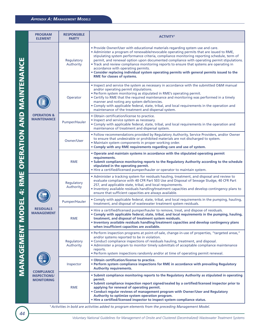|                         | <b>PROGRAM</b><br><b>ELEMENT</b>                              | <b>RESPONSIBLE</b><br><b>PARTY</b> | <b>ACTIVITY<sup>1</sup></b>                                                                                                                                                                                                                                                                                                                                                                                                                                                                                                                                                                                                          |
|-------------------------|---------------------------------------------------------------|------------------------------------|--------------------------------------------------------------------------------------------------------------------------------------------------------------------------------------------------------------------------------------------------------------------------------------------------------------------------------------------------------------------------------------------------------------------------------------------------------------------------------------------------------------------------------------------------------------------------------------------------------------------------------------|
|                         |                                                               | Regulatory<br>Authority            | . Provide Owner/User with educational materials regarding system use and care.<br>. Administer a program of renewable/revocable operating permits that are issued to RME,<br>stipulating system performance criteria, compliance monitoring reporting schedule, term of<br>permit, and renewal option upon documented compliance with operating permit stipulations.<br>. Track and review compliance monitoring reports to ensure that systems are operating in<br>accordance with operating permits.<br>. Consider replacing individual system operating permits with general permits issued to the<br>RME for classes of systems. |
| OPERATION AND MAINTENAN |                                                               | Operator                           | . Inspect and service the system as necessary in accordance with the submitted O&M manual<br>and/or operating permit stipulations.<br>• Perform system monitoring as stipulated in RME's operating permit.<br>• Certify to RME that the required maintenance and monitoring was performed in a timely<br>manner and noting any system deficiencies.<br>• Comply with applicable federal, state, tribal, and local requirements in the operation and<br>maintenance of the treatment and dispersal system.                                                                                                                            |
|                         | <b>OPERATION &amp;</b><br><b>MAINTENANCE</b>                  | Pumper/Hauler                      | · Obtain certification/license to practice.<br>• Inspect and service system as necessary.<br>• Comply with applicable federal, state, tribal, and local requirements in the operation and<br>maintenance of treatment and dispersal system.                                                                                                                                                                                                                                                                                                                                                                                          |
|                         |                                                               | Owner/User                         | . Follow recommendations provided by Regulatory Authority, Service Providers, and/or Owner<br>to ensure that undesirable or prohibited materials are not discharged to system.<br>• Maintain system components in proper working order.<br>• Comply with any RME requirements regarding care and use of system.                                                                                                                                                                                                                                                                                                                      |
| ш                       |                                                               | <b>RME</b>                         | • Operate and maintain systems in accordance with the stipulated operating permit<br>requirements.<br>. Submit compliance monitoring reports to the Regulatory Authority according to the schedule<br>stipulated in the operating permit.<br>• Hire a certified/licensed pumper/hauler or operator to maintain system.                                                                                                                                                                                                                                                                                                               |
| $-4$ : RM               |                                                               | Regulatory<br>Authority            | • Administer a tracking system for residuals hauling, treatment, and disposal and review to<br>evaluate compliance with 40 CFR Part 503 Use and Disposal of Sewage Sludge, 40 CFR Part<br>257, and applicable state, tribal, and local requirements.<br>. Inventory available residuals handling/treatment capacities and develop contingency plans to<br>ensure that sufficient capacities are always available.                                                                                                                                                                                                                    |
|                         |                                                               | Pumper/Hauler                      | . Comply with applicable federal, state, tribal, and local requirements in the pumping, hauling,<br>treatment, and disposal of wastewater treatment system residuals.                                                                                                                                                                                                                                                                                                                                                                                                                                                                |
| MODEI                   | <b>RESIDUALS</b><br><b>MANAGEMENT</b>                         | <b>RME</b>                         | • Hire a certified/licensed pumper/hauler to remove, treat, and dispose of residuals.<br>. Comply with applicable federal, state, tribal, and local requirements in the pumping, hauling,<br>treatment, and disposal of treatment system residuals.<br>. Inventory available residuals handling/treatment capacities and develop contingency plans<br>when insufficient capacities are available.                                                                                                                                                                                                                                    |
| MANAGEMENT              | <b>COMPLIANCE</b><br><b>INSPECTIONS/</b><br><b>MONITORING</b> | Regulatory<br>Authority            | • Perform inspection programs at point-of-sale, change-in-use of properties, "targeted areas,"<br>and/or systems reported to be in violation.<br>• Conduct compliance inspections of residuals hauling, treatment, and disposal.<br>• Administer a program to monitor timely submittals of acceptable compliance maintenance<br>reports.<br>. Perform system inspections randomly and/or at time of operating permit renewal.                                                                                                                                                                                                        |
|                         |                                                               | Inspector                          | . Obtain certification/license to practice.<br>. Perform system compliance inspections for RME in accordance with prevailing Regulatory<br><b>Authority requirements.</b>                                                                                                                                                                                                                                                                                                                                                                                                                                                            |
|                         |                                                               | <b>RME</b>                         | . Submit compliance monitoring reports to the Regulatory Authority as stipulated in operating<br>permit.<br>. Submit compliance inspection report signed/sealed by a certified/licensed inspector prior to<br>applying for renewal of operating permit.<br>. Conduct regular reviews of management program with Owner/User and Regulatory<br>Authority to optimize system operation program.<br>. Hire a certified/licensed inspector to inspect system compliance status.                                                                                                                                                           |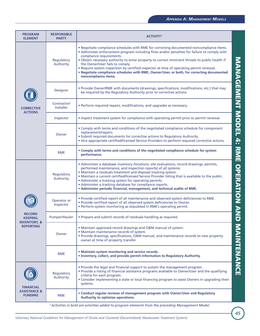| <b>PROGRAM</b><br><b>ELEMENT</b>                              | <b>RESPONSIBLE</b><br><b>PARTY</b> | <b>ACTIVITY<sup>1</sup></b>                                                                                                                                                                                                                                                                                                                                                                                                                                                                                                                                               |                          |
|---------------------------------------------------------------|------------------------------------|---------------------------------------------------------------------------------------------------------------------------------------------------------------------------------------------------------------------------------------------------------------------------------------------------------------------------------------------------------------------------------------------------------------------------------------------------------------------------------------------------------------------------------------------------------------------------|--------------------------|
|                                                               | Regulatory<br>Authority            | . Negotiate compliance schedules with RME for correcting documented noncompliance items.<br>• Administer enforcement program including fines and/or penalties for failure to comply with<br>compliance requirements.<br>. Obtain necessary authority to enter property to correct imminent threats to public health if<br>the Owner/User fails to comply.<br>• Require system inspection by certified inspector at time of operating permit renewal.<br>. Negotiate compliance schedules with RME, Owner/User, or both, for correcting documented<br>noncompliance items. | MANAGEMENT MODEL 4:      |
|                                                               | Designer                           | • Provide Owner/RME with documents (drawings, specifications, modifications, etc.) that may<br>be required by the Regulatory Authority prior to corrective actions.                                                                                                                                                                                                                                                                                                                                                                                                       |                          |
| <b>CORRECTIVE</b><br><b>ACTIONS</b>                           | Contractor/<br>Installer           | • Perform required repairs, modifications, and upgrades as necessary.                                                                                                                                                                                                                                                                                                                                                                                                                                                                                                     |                          |
|                                                               | Inspector                          | . Inspect treatment system for compliance with operating permit prior to permit renewal.                                                                                                                                                                                                                                                                                                                                                                                                                                                                                  |                          |
|                                                               | Owner                              | • Comply with terms and conditions of the negotiated compliance schedule for component<br>replacement/repairs.<br>• Submit required documents for corrective actions to Regulatory Authority.<br>. Hire appropriate certified/licensed Service Providers to perform required corrective actions.                                                                                                                                                                                                                                                                          |                          |
|                                                               | <b>RME</b>                         | • Comply with terms and conditions of the negotiated compliance schedule for system<br>performance.                                                                                                                                                                                                                                                                                                                                                                                                                                                                       |                          |
|                                                               | Regulatory<br>Authority            | • Administer a database inventory (locations, site evaluations, record drawings, permits,<br>performed maintenance, and inspection reports) of all systems.<br>. Maintain a residuals treatment and disposal tracking system.<br>. Maintain a current certified/licensed Service Provider listing that is available to the public.<br>• Administer a tracking system for operating permits.<br>• Administer a tracking database for compliance reports.<br>• Administer periodic financial, management, and technical audits of RME.                                      | <b>RNE OPERATION AND</b> |
|                                                               | Operator or<br>Inspector           | . Provide certified report of all maintenance and observed system deficiencies to RME.<br>. Provide certified report of all observed system deficiencies to Owner.<br>. Perform system monitoring as stipulated in RME's operating permit.                                                                                                                                                                                                                                                                                                                                |                          |
| <b>RECORD</b><br><b>KEEPING,</b>                              | Pumper/Hauler                      | • Prepare and submit records of residuals handling as required.                                                                                                                                                                                                                                                                                                                                                                                                                                                                                                           |                          |
| <b>INVENTORY, &amp;</b><br><b>REPORTING</b>                   | Owner                              | • Maintain approved record drawings and O&M manual of system.<br>· Maintain maintenance records of system.<br>. Provide drawings, specifications, O&M manual, and maintenance records to new property<br>owner at time of property transfer.                                                                                                                                                                                                                                                                                                                              | MAINTENANCE              |
|                                                               | <b>RME</b>                         | • Maintain system monitoring and service records.<br>. Inventory, collect, and provide permit information to Regulatory Authority.                                                                                                                                                                                                                                                                                                                                                                                                                                        |                          |
| <b>FINANCIAL</b><br><b>ASSISTANCE &amp;</b><br><b>FUNDING</b> | Regulatory<br>Authority            | . Provide the legal and financial support to sustain the management program.<br>. Provide a listing of financial assistance programs available to Owner/User and the qualifying<br>criteria for each program.<br>. Consider implementing a state or local financing program to assist Owners in upgrading their<br>systems.                                                                                                                                                                                                                                               |                          |
|                                                               | <b>RME</b>                         | . Conduct regular reviews of management program with Owner/User and Regulatory<br>Authority to optimize operations.                                                                                                                                                                                                                                                                                                                                                                                                                                                       |                          |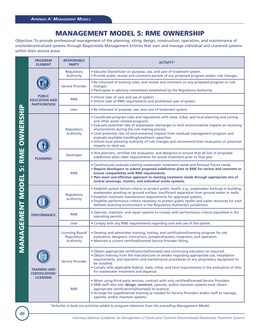### **MANAGEMENT MODEL 5: RME OWNERSHIP**

Objective: To provide professional management of the planning, siting, design, construction, operation, and maintenance of onsite/decentralized systems through Responsible Management Entities that own and manage individual and clustered systems within their service areas.

| <b>5: RME OWNERSHIP</b><br><b>ANAGEMENT MODEL</b> | <b>PROGRAM</b><br><b>ELEMENT</b>                                 | <b>RESPONSIBLE</b><br><b>PARTY</b>          | <b>ACTIVITY</b> <sup>1</sup>                                                                                                                                                                                                                                                                                                                                                                                                                                                                                                                                 |
|---------------------------------------------------|------------------------------------------------------------------|---------------------------------------------|--------------------------------------------------------------------------------------------------------------------------------------------------------------------------------------------------------------------------------------------------------------------------------------------------------------------------------------------------------------------------------------------------------------------------------------------------------------------------------------------------------------------------------------------------------------|
|                                                   | <b>PUBLIC</b><br><b>EDUCATION AND</b><br><b>PARTICIPATION</b>    | Regulatory<br>Authority                     | • Educate Owner/User on purpose, use, and care of treatment system.<br>• Provide public review and comment periods of any proposed program and/or rule changes.                                                                                                                                                                                                                                                                                                                                                                                              |
|                                                   |                                                                  | Service Provider                            | • Be informed of existing rules, and review and comment on any proposed program or rule<br>changes.<br>• Participate in advisory committees established by the Regulatory Authority.                                                                                                                                                                                                                                                                                                                                                                         |
|                                                   |                                                                  | <b>RME</b>                                  | • Inform User of care and use of system.<br>• Inform User of RME requirements and prohibited uses of system.                                                                                                                                                                                                                                                                                                                                                                                                                                                 |
|                                                   |                                                                  | <b>User</b>                                 | . Be informed of purpose, use, and care of treatment system.                                                                                                                                                                                                                                                                                                                                                                                                                                                                                                 |
|                                                   | <b>PLANNING</b>                                                  | Regulatory<br>Authority                     | • Coordinate program rules and regulations with state, tribal, and local planning and zoning<br>and other water-related programs.<br>. Evaluate potential risks of wastewater discharges to limit environmental impacts on receiving<br>environments during the rule making process.<br>. Limit potential risks of environmental impacts from residuals management program and<br>evaluate available handling/treatment capacities.<br>• Inform local planning authority of rule changes and recommend their evaluation of potential<br>impacts on land use. |
|                                                   |                                                                  | Developer                                   | • Hire planners, certified site evaluators, and designers to ensure that all lots of proposed<br>subdivision plats meet requirements for onsite treatment prior to final plat.                                                                                                                                                                                                                                                                                                                                                                               |
|                                                   |                                                                  | <b>RME</b>                                  | . Continuously evaluate existing wastewater treatment needs and forecast future needs.<br>. Require developers to submit proposed subdivision plats to RME for review and comment to<br>ensure compatibility with RME requirements.<br>. Plan most cost-effective approach to meeting treatment needs through appropriate mix of<br>central sewerage, clusters, and individual onsite systems.                                                                                                                                                               |
|                                                   | <b>PERFORMANCE</b>                                               | Regulatory<br>Authority                     | • Establish system failure criteria to protect public health, e.g., wastewater backups in building,<br>wastewater ponding on ground surface, insufficient separation from ground water or wells.<br>• Establish minimum maintenance requirements for approved systems.<br>• Establish performance criteria necessary to protect public health and water resources for each<br>defined receiving environment in the Regulatory Authority's jurisdiction.                                                                                                      |
|                                                   |                                                                  | <b>RME</b>                                  | . Operate, maintain, and repair systems to comply with performance criteria stipulated in the<br>operating permits.                                                                                                                                                                                                                                                                                                                                                                                                                                          |
|                                                   |                                                                  | <b>User</b>                                 | • Comply with any RME requirements regarding care and use of the system.                                                                                                                                                                                                                                                                                                                                                                                                                                                                                     |
| Σ                                                 | <b>TRAINING AND</b><br><b>CERTIFICATION/</b><br><b>LICENSING</b> | Licensing Board/<br>Regulatory<br>Authority | . Develop and administer training, testing, and certification/licensing program for site<br>evaluators, designers, contractors, pumpers/haulers, inspectors, and operators.<br>· Maintain a current certified/licensed Service Provider listing.                                                                                                                                                                                                                                                                                                             |
|                                                   |                                                                  | <b>Service Provider</b>                     | . Obtain appropriate certification(s)/license(s) and continuing education as required.<br>. Obtain training from the manufacturer or vendor regarding appropriate use, installation<br>requirements, and operation and maintenance procedures of any proprietary equipment to<br>be installed.<br>. Comply with applicable federal, state, tribal, and local requirements in the evaluation of sites<br>for wastewater treatment and dispersal.                                                                                                              |
|                                                   |                                                                  | <b>RME</b>                                  | . When using-third party services, contract with only certified/licensed Service Providers.<br>. RME staff who site, design, construct, operate, and/or maintain systems must obtain<br>appropriate certification(s)/license(s) to practice.<br>• Arrange for supplemental training as needed for Service Providers and/or staff to manage,<br>operate, and/or maintain systems.                                                                                                                                                                             |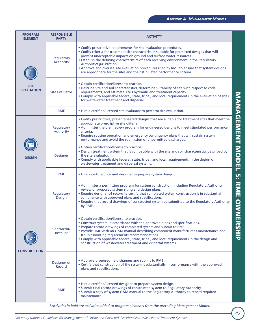| <b>PROGRAM</b><br><b>ELEMENT</b> | <b>RESPONSIBLE</b><br><b>PARTY</b> | <b>ACTIVITY</b> <sup>1</sup>                                                                                                                                                                                                                                                                                                                                                                                                                                                                                                                  |                  |
|----------------------------------|------------------------------------|-----------------------------------------------------------------------------------------------------------------------------------------------------------------------------------------------------------------------------------------------------------------------------------------------------------------------------------------------------------------------------------------------------------------------------------------------------------------------------------------------------------------------------------------------|------------------|
| <b>SITE</b><br><b>EVALUATION</b> | Regulatory<br>Authority            | • Codify prescriptive requirements for site evaluation procedures.<br>• Codify criteria for treatment site characteristics suitable for permitted designs that will<br>prevent unacceptable impacts on ground and surface water resources.<br>. Establish the defining characteristics of each receiving environment in the Regulatory<br>Authority's jurisdiction.<br>• Approve and oversee site evaluation procedures used by RME to ensure that system designs<br>are appropriate for the sites and their stipulated performance criteria. |                  |
|                                  | <b>Site Evaluator</b>              | • Obtain certification/license to practice.<br>. Describe site and soil characteristics, determine suitability of site with respect to code<br>requirements, and estimate site's hydraulic and treatment capacity.<br>. Comply with applicable federal, state, tribal, and local requirements in the evaluation of sites<br>for wastewater treatment and dispersal.                                                                                                                                                                           |                  |
|                                  | <b>RME</b>                         | . Hire a certified/licensed site evaluator to perform site evaluation.                                                                                                                                                                                                                                                                                                                                                                                                                                                                        |                  |
| <b>DESIGN</b>                    | Regulatory<br>Authority            | . Codify prescriptive, pre-engineered designs that are suitable for treatment sites that meet the<br>appropriate prescriptive site criteria.<br>• Administer the plan review program for engineered designs to meet stipulated performance<br>criteria.<br>. Require routine operation and emergency contingency plans that will sustain system<br>performance and avoid the submission of unpermitted discharges.                                                                                                                            | MANAGEMENT MODEL |
|                                  | Designer                           | · Obtain certification/license to practice.<br>. Design treatment system that is compatible with the site and soil characteristics described by<br>the site evaluator.<br>. Comply with applicable federal, state, tribal, and local requirements in the design of<br>wastewater treatment and dispersal systems.                                                                                                                                                                                                                             |                  |
|                                  | <b>RME</b>                         | . Hire a certified/licensed designer to prepare system design.                                                                                                                                                                                                                                                                                                                                                                                                                                                                                | <u>ហ្គ</u>       |
| <b>CONSTRUCTION</b>              | Regulatory<br>Design               | • Administer a permitting program for system construction, including Regulatory Authority<br>review of proposed system siting and design plans.<br>. Require designer of record to certify that completed system construction is in substantial<br>compliance with approved plans and specifications.<br>. Require that record drawings of constructed system be submitted to the Regulatory Authority<br>by RME.                                                                                                                             | <b>RNE OWNE</b>  |
|                                  | Contractor/<br><b>Installer</b>    | • Obtain certification/license to practice.<br>• Construct system in accordance with the approved plans and specifications.<br>. Prepare record drawings of completed system and submit to RME.<br>. Provide RME with an O&M manual describing component manufacturer's maintenance and<br>troubleshooting requirements/recommendations.<br>. Comply with applicable federal, state, tribal, and local requirements in the design and<br>construction of wastewater treatment and dispersal systems.                                          | スピエラ             |
|                                  | Designer of<br>Record              | • Approve proposed field changes and submit to RME.<br>• Certify that construction of the system is substantially in conformance with the approved<br>plans and specifications.                                                                                                                                                                                                                                                                                                                                                               |                  |
|                                  | <b>RME</b>                         | . Hire a certified/licensed designer to prepare system design.<br>• Submit final record drawings of constructed system to Regulatory Authority.<br>. Submit a copy of system O&M manual to the Regulatory Authority to record required<br>maintenance.                                                                                                                                                                                                                                                                                        |                  |
|                                  |                                    | <sup>1</sup> Activities in bold are activities added to program elements from the preceding Management Model.                                                                                                                                                                                                                                                                                                                                                                                                                                 |                  |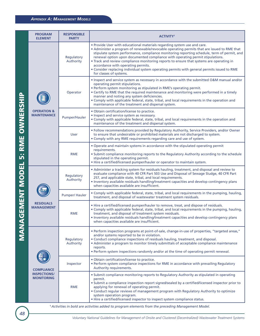| <b>5: RME OWNER</b><br><b>AGEMENT MODEI</b> | <b>PROGRAM</b><br><b>ELEMENT</b>                              | <b>RESPONSIBLE</b><br><b>PARTY</b> | <b>ACTIVITY<sup>1</sup></b>                                                                                                                                                                                                                                                                                                                                                                                                                                                                                                                                                                                         |
|---------------------------------------------|---------------------------------------------------------------|------------------------------------|---------------------------------------------------------------------------------------------------------------------------------------------------------------------------------------------------------------------------------------------------------------------------------------------------------------------------------------------------------------------------------------------------------------------------------------------------------------------------------------------------------------------------------------------------------------------------------------------------------------------|
|                                             |                                                               | Regulatory<br>Authority            | . Provide User with educational materials regarding system use and care.<br>• Administer a program of renewable/revocable operating permits that are issued to RME that<br>stipulate system performance, compliance monitoring reporting schedule, term of permit, and<br>renewal option upon documented compliance with operating permit stipulations.<br>. Track and review compliance monitoring reports to ensure that systems are operating in<br>accordance with operating permits.<br>. Consider replacing individual system operating permits with general permits issued to RME<br>for classes of systems. |
|                                             |                                                               | Operator                           | . Inspect and service system as necessary in accordance with the submitted O&M manual and/or<br>operating permit stipulations.<br>. Perform system monitoring as stipulated in RME's operating permit.<br>• Certify to RME that the required maintenance and monitoring were performed in a timely<br>manner and noting any system deficiencies.<br>. Comply with applicable federal, state, tribal, and local requirements in the operation and<br>maintenance of the treatment and dispersal system.                                                                                                              |
|                                             | <b>OPERATION &amp;</b><br><b>MAINTENANCE</b>                  | Pumper/Hauler                      | • Obtain certification/license to practice.<br>• Inspect and service system as necessary.<br>. Comply with applicable federal, state, tribal, and local requirements in the operation and<br>maintenance of the treatment and dispersal system.                                                                                                                                                                                                                                                                                                                                                                     |
|                                             |                                                               | <b>User</b>                        | . Follow recommendations provided by Regulatory Authority, Service Providers, and/or Owner<br>to ensure that undesirable or prohibited materials are not discharged to system.<br>• Comply with any RME requirements regarding care and use of system.                                                                                                                                                                                                                                                                                                                                                              |
|                                             |                                                               | <b>RME</b>                         | . Operate and maintain systems in accordance with the stipulated operating permit<br>requirements.<br>. Submit compliance monitoring reports to the Regulatory Authority according to the schedule<br>stipulated in the operating permit.<br>• Hire a certified/licensed pumper/hauler or operator to maintain system.                                                                                                                                                                                                                                                                                              |
|                                             | <b>RESIDUALS</b><br><b>MANAGEMENT</b>                         | Regulatory<br>Authority            | • Administer a tracking system for residuals hauling, treatment, and disposal and review to<br>evaluate compliance with 40 CFR Part 503 Use and Disposal of Sewage Sludge, 40 CFR Part<br>257, and applicable state, tribal, and local requirements.<br>. Inventory available residuals handling/treatment capacities and develop contingency plans<br>when capacities available are insufficient.                                                                                                                                                                                                                  |
|                                             |                                                               | <b>Pumper/ Hauler</b>              | . Comply with applicable federal, state, tribal, and local requirements in the pumping, hauling,<br>treatment, and disposal of wastewater treatment system residuals.                                                                                                                                                                                                                                                                                                                                                                                                                                               |
|                                             |                                                               | <b>RME</b>                         | • Hire a certified/licensed pumper/hauler to remove, treat, and dispose of residuals.<br>. Comply with applicable federal, state, tribal, and local requirements in the pumping, hauling,<br>treatment, and disposal of treatment system residuals.<br>. Inventory available residuals handling/treatment capacities and develop contingency plans<br>when capacities available are insufficient.                                                                                                                                                                                                                   |
|                                             | <b>COMPLIANCE</b><br><b>INSPECTIONS/</b><br><b>MONITORING</b> | Regulatory<br>Authority            | • Perform inspection programs at point-of-sale, change-in-use of properties, "targeted areas,"<br>and/or systems reported to be in violation.<br>• Conduct compliance inspections of residuals hauling, treatment, and disposal.<br>• Administer a program to monitor timely submittals of acceptable compliance maintenance<br>reports.<br>. Perform system inspections randomly and/or at the time of operating permit renewal.                                                                                                                                                                                   |
|                                             |                                                               | Inspector                          | · Obtain certification/license to practice.<br>• Perform system compliance inspections for RME in accordance with prevailing Regulatory<br>Authority requirements.                                                                                                                                                                                                                                                                                                                                                                                                                                                  |
|                                             |                                                               | <b>RME</b>                         | . Submit compliance monitoring reports to Regulatory Authority as stipulated in operating<br>permit.<br>• Submit a compliance inspection report signed/sealed by a certified/licensed inspector prior to<br>applying for renewal of operating permit.<br>• Conduct regular reviews of management program with Regulatory Authority to optimize<br>system operation program.<br>• Hire a certified/licensed inspector to inspect system compliance status.                                                                                                                                                           |